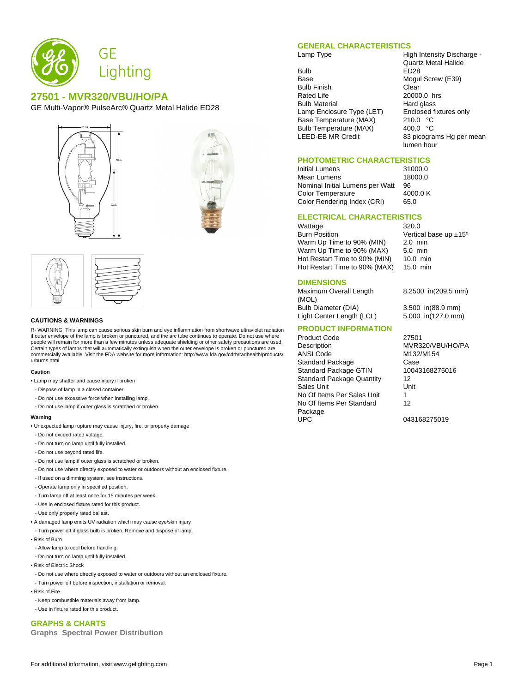

# **27501 - MVR320/VBU/HO/PA**

GE Multi-Vapor® PulseArc® Quartz Metal Halide ED28







#### **CAUTIONS & WARNINGS**

R- WARNING: This lamp can cause serious skin burn and eye inflammation from shortwave ultraviolet radiation if outer envelope of the lamp is broken or punctured, and the arc tube continues to operate. Do not use where people will remain for more than a few minutes unless adequate shielding or other safety precautions are used. Certain types of lamps that will automatically extinguish when the outer envelope is broken or punctured are commercially available. Visit the FDA website for more information: http://www.fda.gov/cdrh/radhealth/products/ urburns.html

#### **Caution**

- Lamp may shatter and cause injury if broken
- Dispose of lamp in a closed container.
- Do not use excessive force when installing lamp.
- Do not use lamp if outer glass is scratched or broken.

#### **Warning**

- Unexpected lamp rupture may cause injury, fire, or property damage
- Do not exceed rated voltage.
- Do not turn on lamp until fully installed.
- Do not use beyond rated life.
- Do not use lamp if outer glass is scratched or broken.
- Do not use where directly exposed to water or outdoors without an enclosed fixture.
- If used on a dimming system, see instructions.
- Operate lamp only in specified position.
- Turn lamp off at least once for 15 minutes per week.
- Use in enclosed fixture rated for this product.
- Use only properly rated ballast.
- A damaged lamp emits UV radiation which may cause eye/skin injury
- Turn power off if glass bulb is broken. Remove and dispose of lamp.
- Risk of Burn
- Allow lamp to cool before handling.
- Do not turn on lamp until fully installed.
- Risk of Electric Shock
- Do not use where directly exposed to water or outdoors without an enclosed fixture.
- Turn power off before inspection, installation or removal.
- Risk of Fire
- Keep combustible materials away from lamp.
- Use in fixture rated for this product.

## **GRAPHS & CHARTS**

**Graphs\_Spectral Power Distribution**

#### **GENERAL CHARACTERISTICS**

Bulb ED28<br>Base Mogul Bulb Finish Clear<br>Rated Life 20000 Bulb Material **Hard glass** Lamp Enclosure Type (LET) Enclosed fixtures only<br>Base Temperature (MAX) 210.0 °C Base Temperature (MAX) 210.0 °C<br>Bulb Temperature (MAX) 400.0 °C Bulb Temperature (MAX)<br>LEED-EB MR Credit

Lamp Type **High Intensity Discharge -**Quartz Metal Halide Mogul Screw (E39) 20000.0 hrs 83 picograms Hg per mean lumen hour

## **PHOTOMETRIC CHARACTERISTICS**

Initial Lumens 31000.0 Mean Lumens 18000.0<br>Nominal Initial Lumens per Watt 96 Nominal Initial Lumens per Watt 96<br>Color Temperature 4000.0 K Color Temperature Color Rendering Index (CRI) 65.0

## **ELECTRICAL CHARACTERISTICS**

Wattage 320.0<br>Burn Position 6.1 Vertic Warm Up Time to 90% (MIN) Warm Up Time to 90% (MAX) 5.0 min<br>Hot Restart Time to 90% (MIN) 10.0 min Hot Restart Time to 90% (MIN) Hot Restart Time to 90% (MAX) 15.0 min

#### **DIMENSIONS**

Maximum Overall Length (MOL) Bulb Diameter (DIA) 3.500 in(88.9 mm)<br>Light Center Length (LCL) 5.000 in(127.0 mm) Light Center Length (LCL)

#### **PRODUCT INFORMATION**

Product Code 27501 Description MVR320/VBU/HO/PA<br>ANSI Code M132/M154 Standard Package Case<br>
Standard Package GTIN 10043168275016 Standard Package GTIN Standard Package Quantity 12 Sales Unit Unit No Of Items Per Sales Unit 1 No Of Items Per Standard Package<br>UPC

Vertical base up  $\pm 15^{\circ}$ <br>2.0 min

8.2500 in(209.5 mm)

M132/M154 12

043168275019